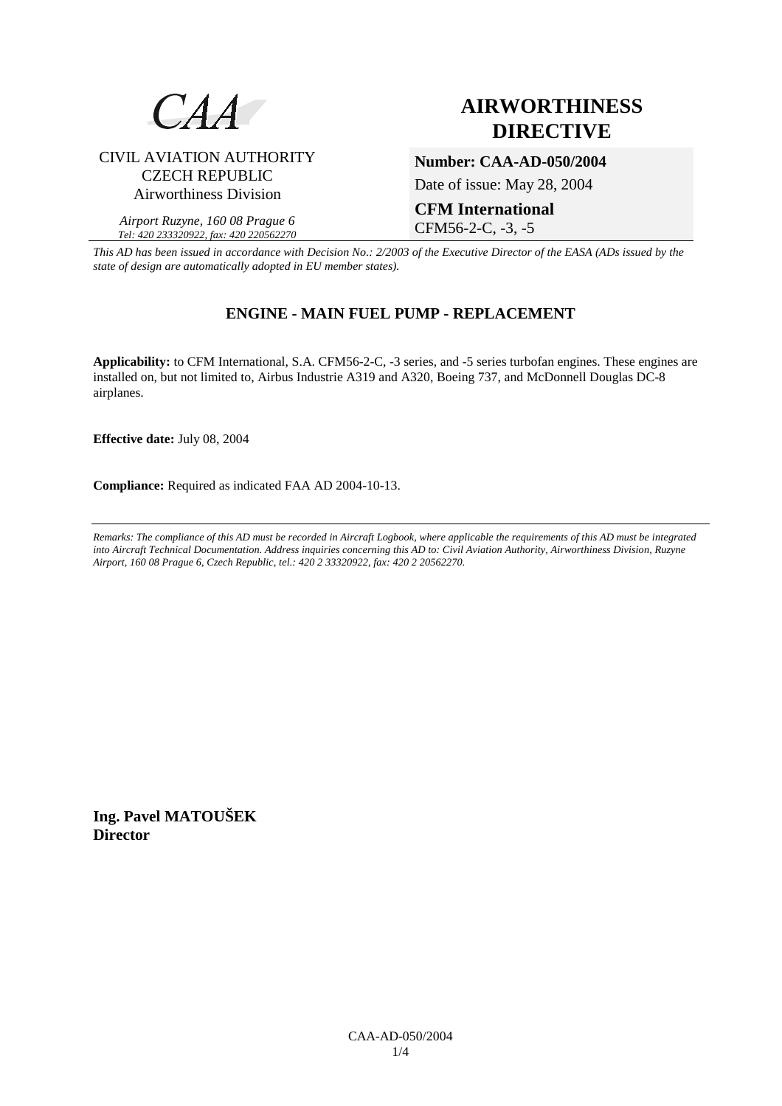

### CIVIL AVIATION AUTHORITY CZECH REPUBLIC Airworthiness Division

*Airport Ruzyne, 160 08 Prague 6 Tel: 420 233320922, fax: 420 220562270*

## **AIRWORTHINESS DIRECTIVE**

**Number: CAA-AD-050/2004** 

Date of issue: May 28, 2004

# **CFM International**

CFM56-2-C, -3, -5

*This AD has been issued in accordance with Decision No.: 2/2003 of the Executive Director of the EASA (ADs issued by the state of design are automatically adopted in EU member states).*

## **ENGINE - MAIN FUEL PUMP - REPLACEMENT**

**Applicability:** to CFM International, S.A. CFM56-2-C, -3 series, and -5 series turbofan engines. These engines are installed on, but not limited to, Airbus Industrie A319 and A320, Boeing 737, and McDonnell Douglas DC-8 airplanes.

**Effective date:** July 08, 2004

**Compliance:** Required as indicated FAA AD 2004-10-13.

*Remarks: The compliance of this AD must be recorded in Aircraft Logbook, where applicable the requirements of this AD must be integrated into Aircraft Technical Documentation. Address inquiries concerning this AD to: Civil Aviation Authority, Airworthiness Division, Ruzyne Airport, 160 08 Prague 6, Czech Republic, tel.: 420 2 33320922, fax: 420 2 20562270.* 

**Ing. Pavel MATOUŠEK Director**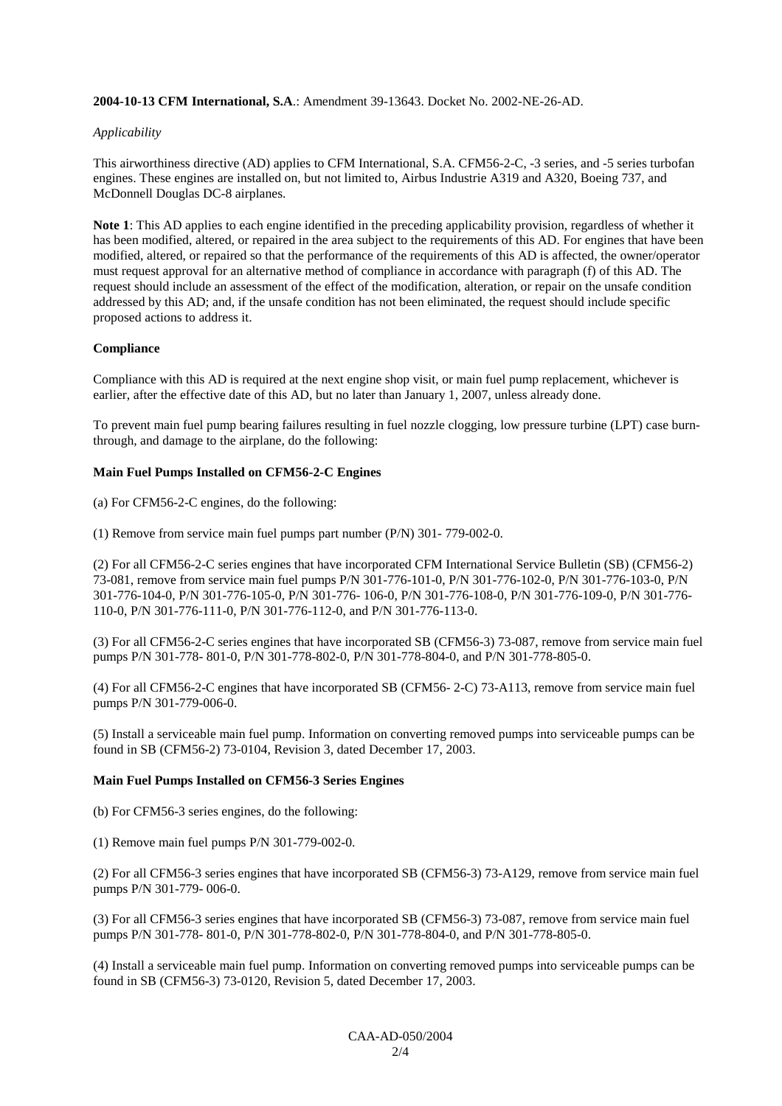#### **2004-10-13 CFM International, S.A**.: Amendment 39-13643. Docket No. 2002-NE-26-AD.

#### *Applicability*

This airworthiness directive (AD) applies to CFM International, S.A. CFM56-2-C, -3 series, and -5 series turbofan engines. These engines are installed on, but not limited to, Airbus Industrie A319 and A320, Boeing 737, and McDonnell Douglas DC-8 airplanes.

**Note 1**: This AD applies to each engine identified in the preceding applicability provision, regardless of whether it has been modified, altered, or repaired in the area subject to the requirements of this AD. For engines that have been modified, altered, or repaired so that the performance of the requirements of this AD is affected, the owner/operator must request approval for an alternative method of compliance in accordance with paragraph (f) of this AD. The request should include an assessment of the effect of the modification, alteration, or repair on the unsafe condition addressed by this AD; and, if the unsafe condition has not been eliminated, the request should include specific proposed actions to address it.

#### **Compliance**

Compliance with this AD is required at the next engine shop visit, or main fuel pump replacement, whichever is earlier, after the effective date of this AD, but no later than January 1, 2007, unless already done.

To prevent main fuel pump bearing failures resulting in fuel nozzle clogging, low pressure turbine (LPT) case burnthrough, and damage to the airplane, do the following:

#### **Main Fuel Pumps Installed on CFM56-2-C Engines**

(a) For CFM56-2-C engines, do the following:

(1) Remove from service main fuel pumps part number (P/N) 301- 779-002-0.

(2) For all CFM56-2-C series engines that have incorporated CFM International Service Bulletin (SB) (CFM56-2) 73-081, remove from service main fuel pumps P/N 301-776-101-0, P/N 301-776-102-0, P/N 301-776-103-0, P/N 301-776-104-0, P/N 301-776-105-0, P/N 301-776- 106-0, P/N 301-776-108-0, P/N 301-776-109-0, P/N 301-776- 110-0, P/N 301-776-111-0, P/N 301-776-112-0, and P/N 301-776-113-0.

(3) For all CFM56-2-C series engines that have incorporated SB (CFM56-3) 73-087, remove from service main fuel pumps P/N 301-778- 801-0, P/N 301-778-802-0, P/N 301-778-804-0, and P/N 301-778-805-0.

(4) For all CFM56-2-C engines that have incorporated SB (CFM56- 2-C) 73-A113, remove from service main fuel pumps P/N 301-779-006-0.

(5) Install a serviceable main fuel pump. Information on converting removed pumps into serviceable pumps can be found in SB (CFM56-2) 73-0104, Revision 3, dated December 17, 2003.

#### **Main Fuel Pumps Installed on CFM56-3 Series Engines**

(b) For CFM56-3 series engines, do the following:

(1) Remove main fuel pumps P/N 301-779-002-0.

(2) For all CFM56-3 series engines that have incorporated SB (CFM56-3) 73-A129, remove from service main fuel pumps P/N 301-779- 006-0.

(3) For all CFM56-3 series engines that have incorporated SB (CFM56-3) 73-087, remove from service main fuel pumps P/N 301-778- 801-0, P/N 301-778-802-0, P/N 301-778-804-0, and P/N 301-778-805-0.

(4) Install a serviceable main fuel pump. Information on converting removed pumps into serviceable pumps can be found in SB (CFM56-3) 73-0120, Revision 5, dated December 17, 2003.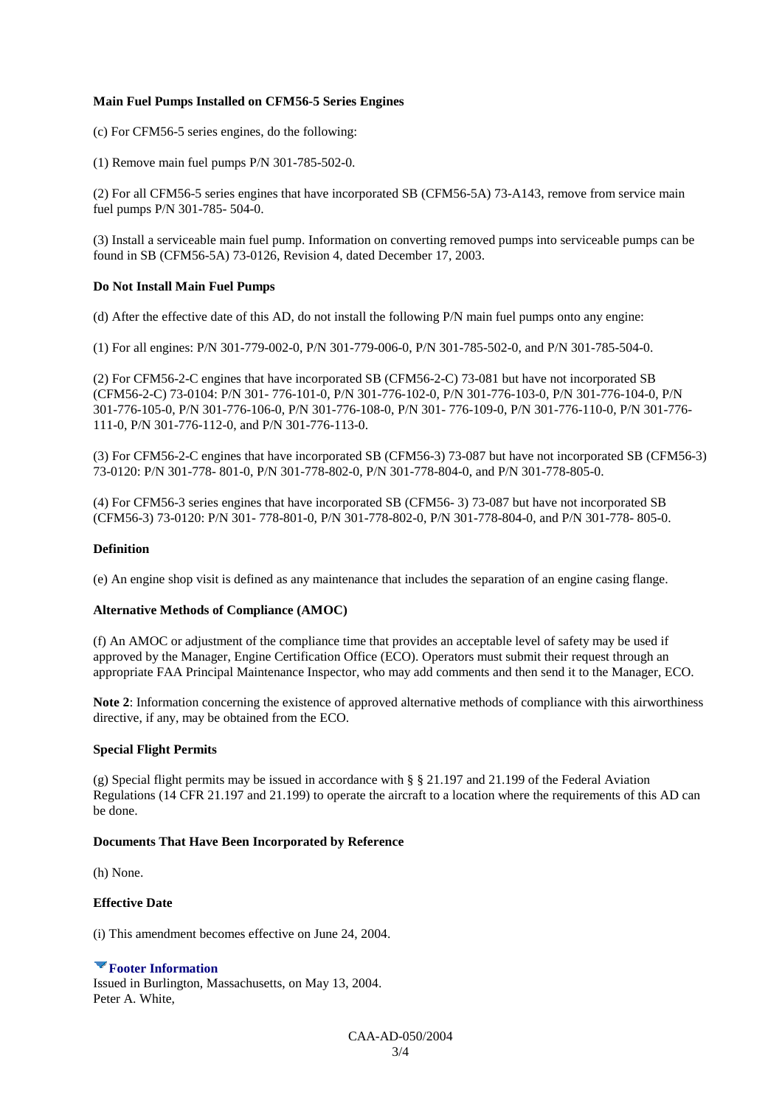#### **Main Fuel Pumps Installed on CFM56-5 Series Engines**

(c) For CFM56-5 series engines, do the following:

(1) Remove main fuel pumps P/N 301-785-502-0.

(2) For all CFM56-5 series engines that have incorporated SB (CFM56-5A) 73-A143, remove from service main fuel pumps P/N 301-785- 504-0.

(3) Install a serviceable main fuel pump. Information on converting removed pumps into serviceable pumps can be found in SB (CFM56-5A) 73-0126, Revision 4, dated December 17, 2003.

#### **Do Not Install Main Fuel Pumps**

(d) After the effective date of this AD, do not install the following P/N main fuel pumps onto any engine:

(1) For all engines: P/N 301-779-002-0, P/N 301-779-006-0, P/N 301-785-502-0, and P/N 301-785-504-0.

(2) For CFM56-2-C engines that have incorporated SB (CFM56-2-C) 73-081 but have not incorporated SB (CFM56-2-C) 73-0104: P/N 301- 776-101-0, P/N 301-776-102-0, P/N 301-776-103-0, P/N 301-776-104-0, P/N 301-776-105-0, P/N 301-776-106-0, P/N 301-776-108-0, P/N 301- 776-109-0, P/N 301-776-110-0, P/N 301-776- 111-0, P/N 301-776-112-0, and P/N 301-776-113-0.

(3) For CFM56-2-C engines that have incorporated SB (CFM56-3) 73-087 but have not incorporated SB (CFM56-3) 73-0120: P/N 301-778- 801-0, P/N 301-778-802-0, P/N 301-778-804-0, and P/N 301-778-805-0.

(4) For CFM56-3 series engines that have incorporated SB (CFM56- 3) 73-087 but have not incorporated SB (CFM56-3) 73-0120: P/N 301- 778-801-0, P/N 301-778-802-0, P/N 301-778-804-0, and P/N 301-778- 805-0.

#### **Definition**

(e) An engine shop visit is defined as any maintenance that includes the separation of an engine casing flange.

#### **Alternative Methods of Compliance (AMOC)**

(f) An AMOC or adjustment of the compliance time that provides an acceptable level of safety may be used if approved by the Manager, Engine Certification Office (ECO). Operators must submit their request through an appropriate FAA Principal Maintenance Inspector, who may add comments and then send it to the Manager, ECO.

**Note 2**: Information concerning the existence of approved alternative methods of compliance with this airworthiness directive, if any, may be obtained from the ECO.

#### **Special Flight Permits**

(g) Special flight permits may be issued in accordance with § § 21.197 and 21.199 of the Federal Aviation Regulations (14 CFR 21.197 and 21.199) to operate the aircraft to a location where the requirements of this AD can be done.

#### **Documents That Have Been Incorporated by Reference**

(h) None.

#### **Effective Date**

(i) This amendment becomes effective on June 24, 2004.

#### **Footer Information**

Issued in Burlington, Massachusetts, on May 13, 2004. Peter A. White,